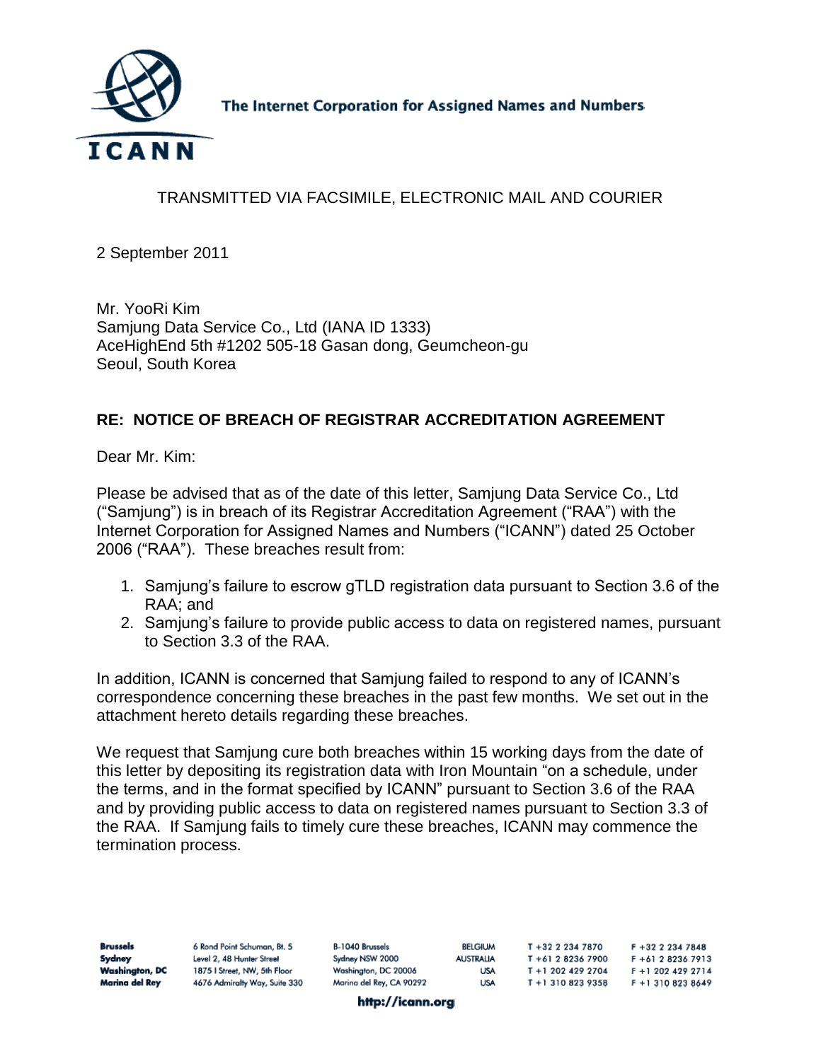

The Internet Corporation for Assigned Names and Numbers

# TRANSMITTED VIA FACSIMILE, ELECTRONIC MAIL AND COURIER

2 September 2011

Mr. YooRi Kim Samjung Data Service Co., Ltd (IANA ID 1333) AceHighEnd 5th #1202 505-18 Gasan dong, Geumcheon-gu Seoul, South Korea

### **RE: NOTICE OF BREACH OF REGISTRAR ACCREDITATION AGREEMENT**

Dear Mr. Kim:

Please be advised that as of the date of this letter, Samjung Data Service Co., Ltd ("Samjung") is in breach of its Registrar Accreditation Agreement ("RAA") with the Internet Corporation for Assigned Names and Numbers ("ICANN") dated 25 October 2006 ("RAA"). These breaches result from:

- 1. Samjung's failure to escrow gTLD registration data pursuant to Section 3.6 of the RAA; and
- 2. Samjung's failure to provide public access to data on registered names, pursuant to Section 3.3 of the RAA.

In addition, ICANN is concerned that Samjung failed to respond to any of ICANN's correspondence concerning these breaches in the past few months. We set out in the attachment hereto details regarding these breaches.

We request that Samjung cure both breaches within 15 working days from the date of this letter by depositing its registration data with Iron Mountain "on a schedule, under the terms, and in the format specified by ICANN" pursuant to Section 3.6 of the RAA and by providing public access to data on registered names pursuant to Section 3.3 of the RAA. If Samjung fails to timely cure these breaches, ICANN may commence the termination process.

| <b>Brussels</b>       | 6 Rond Point Schuman, Bt. 5   | B-1040 Brussels          | <b>BELGIUM</b>   | T +32 2 234 7870   | $F + 32$ 2 234 7848 |
|-----------------------|-------------------------------|--------------------------|------------------|--------------------|---------------------|
| Sydney                | Level 2, 48 Hunter Street     | Sydney NSW 2000          | <b>AUSTRALIA</b> | T +61 2 8236 7900  | F +61 2 8236 7913   |
| <b>Washington, DC</b> | 1875   Street, NW, 5th Floor  | Washington, DC 20006     | USA              | T +1 202 429 2704  | F + 1 202 429 2714  |
| Marina del Rey        | 4676 Admiralty Way, Suite 330 | Marina del Rey, CA 90292 | <b>USA</b>       | T + 1 310 823 9358 | F +1 310 823 8649   |

http://icann.org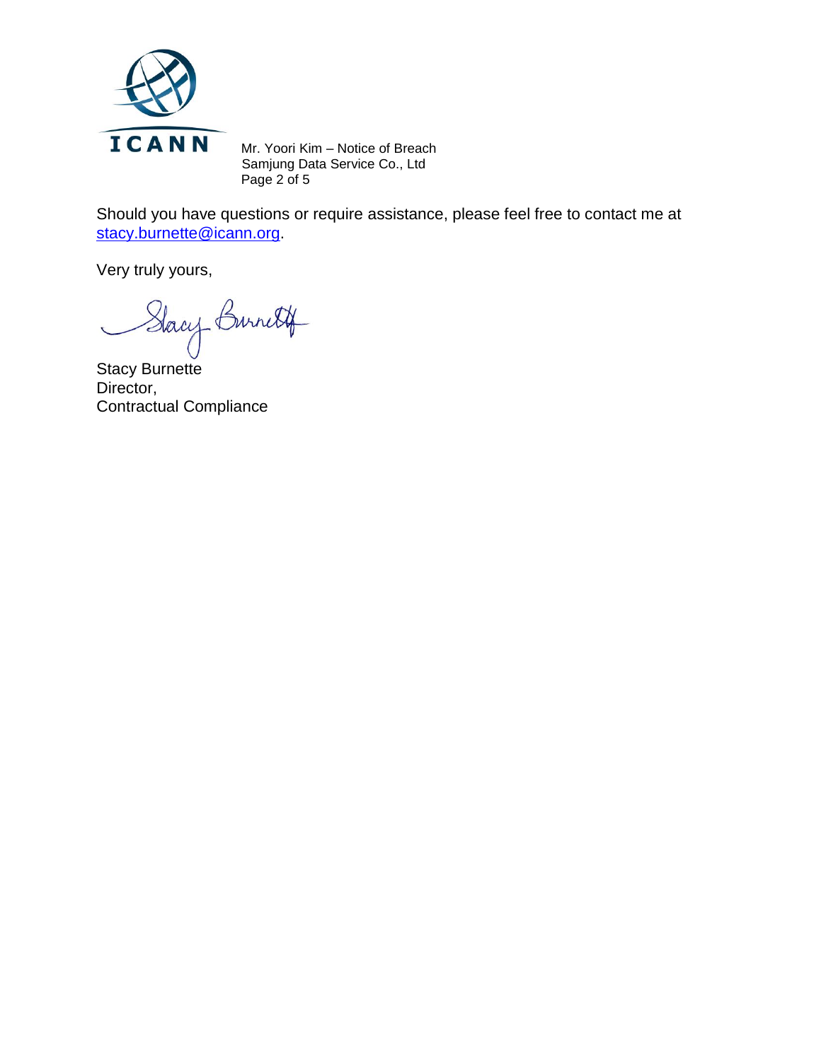

Mr. Yoori Kim – Notice of Breach Samjung Data Service Co., Ltd Page 2 of 5

Should you have questions or require assistance, please feel free to contact me at [stacy.burnette@icann.org.](mailto:stacy.burnette@icann.org)

Very truly yours,

Stacy Burnett

Director, Contractual Compliance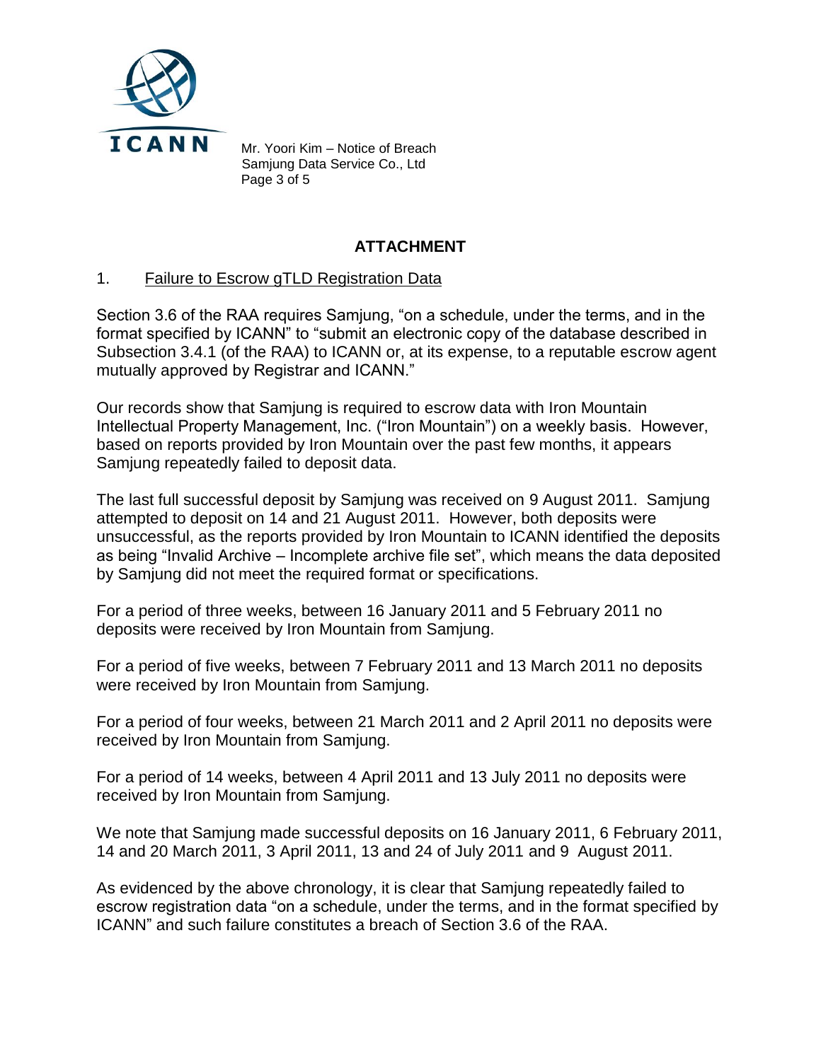

Mr. Yoori Kim – Notice of Breach Samjung Data Service Co., Ltd Page 3 of 5

## **ATTACHMENT**

#### 1. Failure to Escrow gTLD Registration Data

Section 3.6 of the RAA requires Samjung, "on a schedule, under the terms, and in the format specified by ICANN" to "submit an electronic copy of the database described in Subsection 3.4.1 (of the RAA) to ICANN or, at its expense, to a reputable escrow agent mutually approved by Registrar and ICANN."

Our records show that Samjung is required to escrow data with Iron Mountain Intellectual Property Management, Inc. ("Iron Mountain") on a weekly basis. However, based on reports provided by Iron Mountain over the past few months, it appears Samjung repeatedly failed to deposit data.

The last full successful deposit by Samjung was received on 9 August 2011. Samjung attempted to deposit on 14 and 21 August 2011. However, both deposits were unsuccessful, as the reports provided by Iron Mountain to ICANN identified the deposits as being "Invalid Archive – Incomplete archive file set", which means the data deposited by Samjung did not meet the required format or specifications.

For a period of three weeks, between 16 January 2011 and 5 February 2011 no deposits were received by Iron Mountain from Samjung.

For a period of five weeks, between 7 February 2011 and 13 March 2011 no deposits were received by Iron Mountain from Samjung.

For a period of four weeks, between 21 March 2011 and 2 April 2011 no deposits were received by Iron Mountain from Samjung.

For a period of 14 weeks, between 4 April 2011 and 13 July 2011 no deposits were received by Iron Mountain from Samjung.

We note that Samjung made successful deposits on 16 January 2011, 6 February 2011, 14 and 20 March 2011, 3 April 2011, 13 and 24 of July 2011 and 9 August 2011.

As evidenced by the above chronology, it is clear that Samjung repeatedly failed to escrow registration data "on a schedule, under the terms, and in the format specified by ICANN" and such failure constitutes a breach of Section 3.6 of the RAA.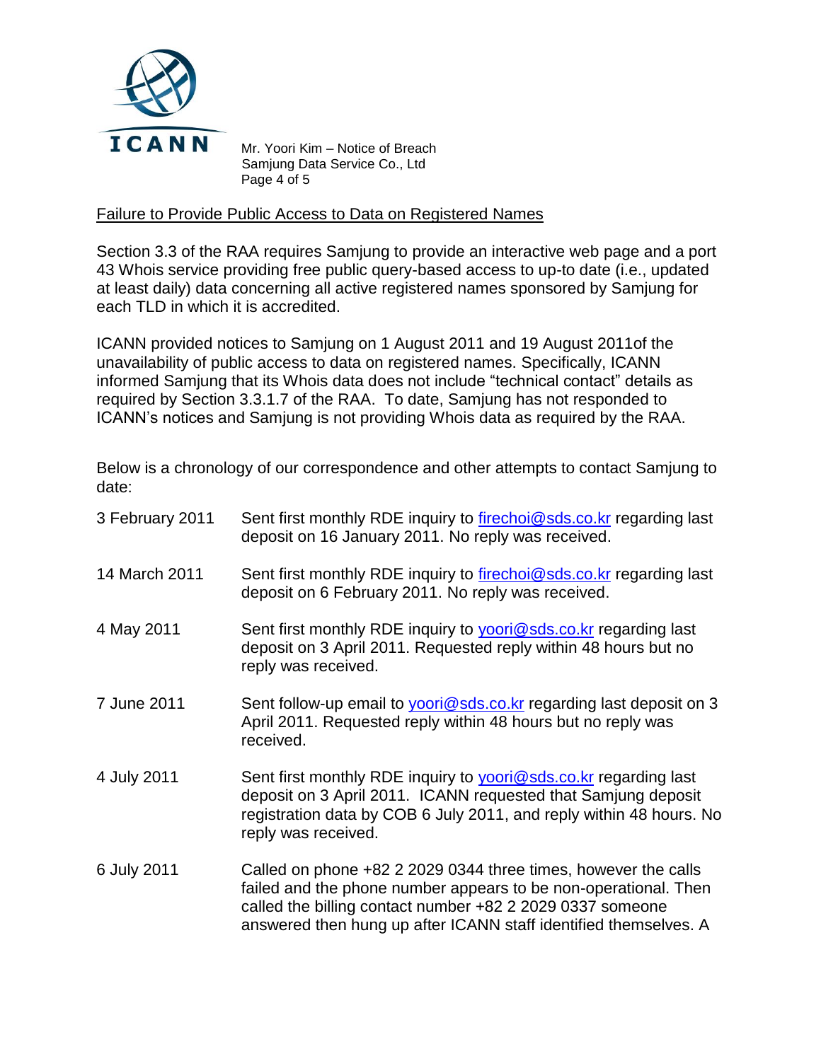

Mr. Yoori Kim – Notice of Breach Samjung Data Service Co., Ltd Page 4 of 5

#### Failure to Provide Public Access to Data on Registered Names

Section 3.3 of the RAA requires Samjung to provide an interactive web page and a port 43 Whois service providing free public query-based access to up-to date (i.e., updated at least daily) data concerning all active registered names sponsored by Samjung for each TLD in which it is accredited.

ICANN provided notices to Samjung on 1 August 2011 and 19 August 2011of the unavailability of public access to data on registered names. Specifically, ICANN informed Samjung that its Whois data does not include "technical contact" details as required by Section 3.3.1.7 of the RAA. To date, Samjung has not responded to ICANN's notices and Samjung is not providing Whois data as required by the RAA.

Below is a chronology of our correspondence and other attempts to contact Samjung to date:

| 3 February 2011 | Sent first monthly RDE inquiry to firechoi@sds.co.kr regarding last<br>deposit on 16 January 2011. No reply was received.                                                                                                                                          |  |  |
|-----------------|--------------------------------------------------------------------------------------------------------------------------------------------------------------------------------------------------------------------------------------------------------------------|--|--|
| 14 March 2011   | Sent first monthly RDE inquiry to firechoi@sds.co.kr regarding last<br>deposit on 6 February 2011. No reply was received.                                                                                                                                          |  |  |
| 4 May 2011      | Sent first monthly RDE inquiry to <b>yoori@sds.co.kr</b> regarding last<br>deposit on 3 April 2011. Requested reply within 48 hours but no<br>reply was received.                                                                                                  |  |  |
| 7 June 2011     | Sent follow-up email to yoori@sds.co.kr regarding last deposit on 3<br>April 2011. Requested reply within 48 hours but no reply was<br>received.                                                                                                                   |  |  |
| 4 July 2011     | Sent first monthly RDE inquiry to yoori@sds.co.kr regarding last<br>deposit on 3 April 2011. ICANN requested that Samjung deposit<br>registration data by COB 6 July 2011, and reply within 48 hours. No<br>reply was received.                                    |  |  |
| 6 July 2011     | Called on phone +82 2 2029 0344 three times, however the calls<br>failed and the phone number appears to be non-operational. Then<br>called the billing contact number +82 2 2029 0337 someone<br>answered then hung up after ICANN staff identified themselves. A |  |  |